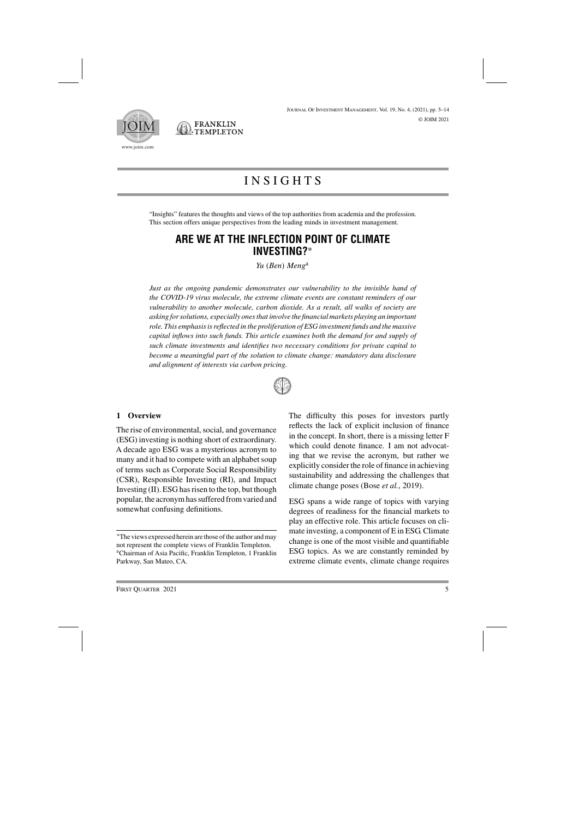



<sup>J</sup>ournal <sup>O</sup>f <sup>I</sup>nvestment <sup>M</sup>anagement, Vol. 19, No. 4, (2021), pp. 5–14 © JOIM 2021

# INSIGHTS

"Insights" features the thoughts and views of the top authorities from academia and the profession. This section offers unique perspectives from the leading minds in investment management.

## **ARE WE AT THE INFLECTION POINT OF CLIMATE INVESTING?**∗

*Yu* (*Ben*) *Meng*<sup>a</sup>

*Just as the ongoing pandemic demonstrates our vulnerability to the invisible hand of the COVID-19 virus molecule, the extreme climate events are constant reminders of our vulnerability to another molecule, carbon dioxide. As a result, all walks of society are asking for solutions, especially ones that involve the financial markets playing an important role. This emphasis is reflected in the proliferation of ESG investment funds and the massive capital inflows into such funds. This article examines both the demand for and supply of such climate investments and identifies two necessary conditions for private capital to become a meaningful part of the solution to climate change: mandatory data disclosure and alignment of interests via carbon pricing.*



#### **1 Overview**

The rise of environmental, social, and governance (ESG) investing is nothing short of extraordinary. A decade ago ESG was a mysterious acronym to many and it had to compete with an alphabet soup of terms such as Corporate Social Responsibility (CSR), Responsible Investing (RI), and Impact Investing (II). ESG has risen to the top, but though popular, the acronym has suffered from varied and somewhat confusing definitions.

The difficulty this poses for investors partly reflects the lack of explicit inclusion of finance in the concept. In short, there is a missing letter F which could denote finance. I am not advocating that we revise the acronym, but rather we explicitly consider the role of finance in achieving sustainability and addressing the challenges that climate change poses (Bose *et al.*, 2019).

ESG spans a wide range of topics with varying degrees of readiness for the financial markets to play an effective role. This article focuses on climate investing, a component of E in ESG. Climate change is one of the most visible and quantifiable ESG topics. As we are constantly reminded by extreme climate events, climate change requires

<sup>∗</sup>The views expressed herein are those of the author and may not represent the complete views of Franklin Templeton. aChairman of Asia Pacific, Franklin Templeton, 1 Franklin Parkway, San Mateo, CA.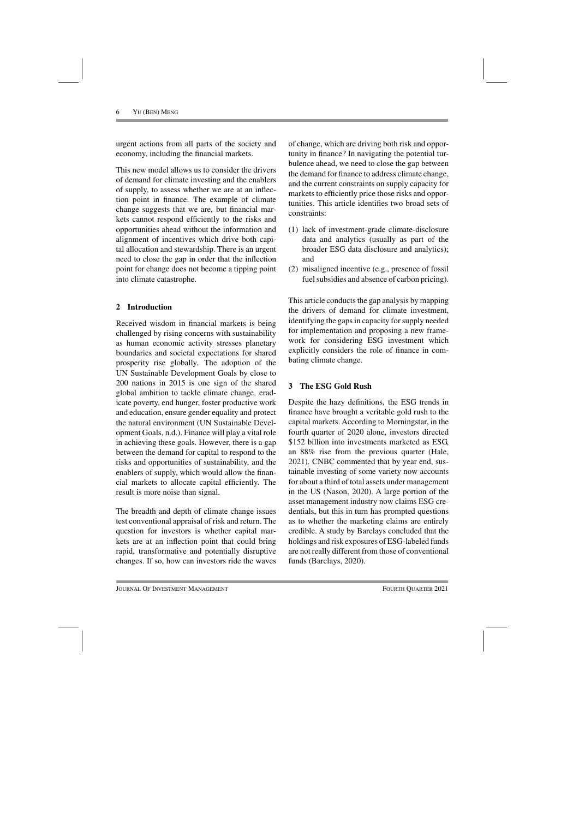urgent actions from all parts of the society and economy, including the financial markets.

This new model allows us to consider the drivers of demand for climate investing and the enablers of supply, to assess whether we are at an inflection point in finance. The example of climate change suggests that we are, but financial markets cannot respond efficiently to the risks and opportunities ahead without the information and alignment of incentives which drive both capital allocation and stewardship. There is an urgent need to close the gap in order that the inflection point for change does not become a tipping point into climate catastrophe.

## **2 Introduction**

Received wisdom in financial markets is being challenged by rising concerns with sustainability as human economic activity stresses planetary boundaries and societal expectations for shared prosperity rise globally. The adoption of the UN Sustainable Development Goals by close to 200 nations in 2015 is one sign of the shared global ambition to tackle climate change, eradicate poverty, end hunger, foster productive work and education, ensure gender equality and protect the natural environment (UN Sustainable Development Goals, n.d.). Finance will play a vital role in achieving these goals. However, there is a gap between the demand for capital to respond to the risks and opportunities of sustainability, and the enablers of supply, which would allow the financial markets to allocate capital efficiently. The result is more noise than signal.

The breadth and depth of climate change issues test conventional appraisal of risk and return. The question for investors is whether capital markets are at an inflection point that could bring rapid, transformative and potentially disruptive changes. If so, how can investors ride the waves of change, which are driving both risk and opportunity in finance? In navigating the potential turbulence ahead, we need to close the gap between the demand for finance to address climate change, and the current constraints on supply capacity for markets to efficiently price those risks and opportunities. This article identifies two broad sets of constraints:

- (1) lack of investment-grade climate-disclosure data and analytics (usually as part of the broader ESG data disclosure and analytics); and
- (2) misaligned incentive (e.g., presence of fossil fuel subsidies and absence of carbon pricing).

This article conducts the gap analysis by mapping the drivers of demand for climate investment, identifying the gaps in capacity for supply needed for implementation and proposing a new framework for considering ESG investment which explicitly considers the role of finance in combating climate change.

## **3 The ESG Gold Rush**

Despite the hazy definitions, the ESG trends in finance have brought a veritable gold rush to the capital markets. According to Morningstar, in the fourth quarter of 2020 alone, investors directed \$152 billion into investments marketed as ESG, an 88% rise from the previous quarter (Hale, 2021). CNBC commented that by year end, sustainable investing of some variety now accounts for about a third of total assets under management in the US (Nason, 2020). A large portion of the asset management industry now claims ESG credentials, but this in turn has prompted questions as to whether the marketing claims are entirely credible. A study by Barclays concluded that the holdings and risk exposures of ESG-labeled funds are not really different from those of conventional funds (Barclays, 2020).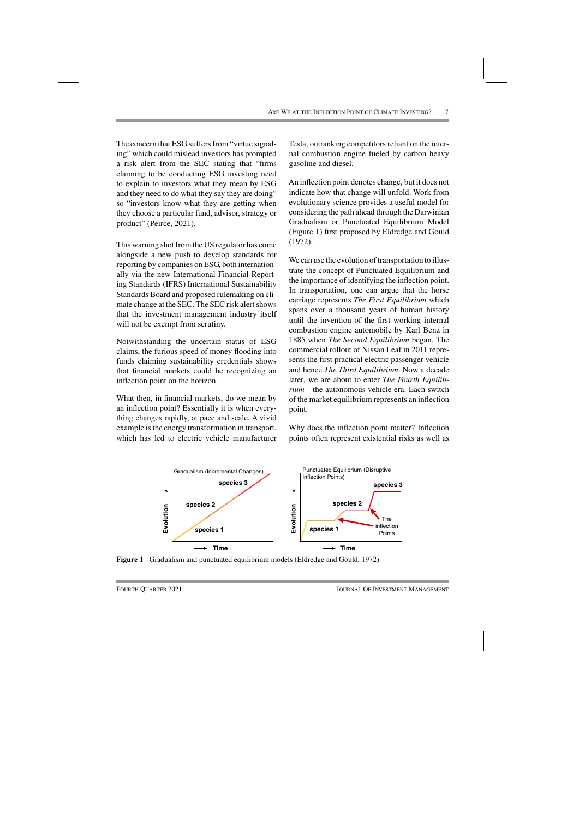The concern that ESG suffers from "virtue signaling" which could mislead investors has prompted a risk alert from the SEC stating that "firms claiming to be conducting ESG investing need to explain to investors what they mean by ESG and they need to do what they say they are doing" so "investors know what they are getting when they choose a particular fund, advisor, strategy or product" (Peirce, 2021).

This warning shot from the US regulator has come alongside a new push to develop standards for reporting by companies on ESG, both internationally via the new International Financial Reporting Standards (IFRS) International Sustainability Standards Board and proposed rulemaking on climate change at the SEC. The SEC risk alert shows that the investment management industry itself will not be exempt from scrutiny.

Notwithstanding the uncertain status of ESG claims, the furious speed of money flooding into funds claiming sustainability credentials shows that financial markets could be recognizing an inflection point on the horizon.

What then, in financial markets, do we mean by an inflection point? Essentially it is when everything changes rapidly, at pace and scale. A vivid example is the energy transformation in transport, which has led to electric vehicle manufacturer

Tesla, outranking competitors reliant on the internal combustion engine fueled by carbon heavy gasoline and diesel.

An inflection point denotes change, but it does not indicate how that change will unfold. Work from evolutionary science provides a useful model for considering the path ahead through the Darwinian Gradualism or Punctuated Equilibrium Model (Figure 1) first proposed by Eldredge and Gould (1972).

We can use the evolution of transportation to illustrate the concept of Punctuated Equilibrium and the importance of identifying the inflection point. In transportation, one can argue that the horse carriage represents *The First Equilibrium* which spans over a thousand years of human history until the invention of the first working internal combustion engine automobile by Karl Benz in 1885 when *The Second Equilibrium* began. The commercial rollout of Nissan Leaf in 2011 represents the first practical electric passenger vehicle and hence *The Third Equilibrium*. Now a decade later, we are about to enter *The Fourth Equilibrium*—the autonomous vehicle era. Each switch of the market equilibrium represents an inflection point.

Why does the inflection point matter? Inflection points often represent existential risks as well as



**Figure 1** Gradualism and punctuated equilibrium models (Eldredge and Gould, 1972).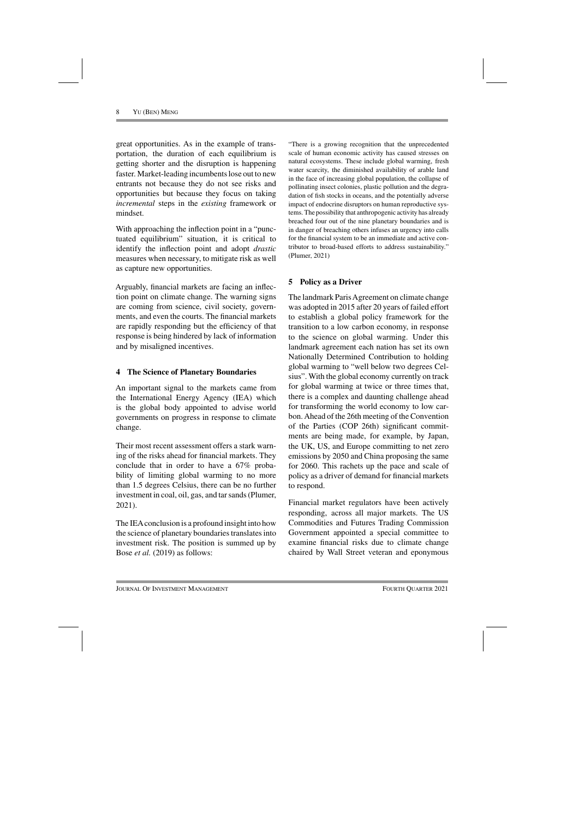great opportunities. As in the example of transportation, the duration of each equilibrium is getting shorter and the disruption is happening faster. Market-leading incumbents lose out to new entrants not because they do not see risks and opportunities but because they focus on taking *incremental* steps in the *existing* framework or mindset.

With approaching the inflection point in a "punctuated equilibrium" situation, it is critical to identify the inflection point and adopt *drastic* measures when necessary, to mitigate risk as well as capture new opportunities.

Arguably, financial markets are facing an inflection point on climate change. The warning signs are coming from science, civil society, governments, and even the courts. The financial markets are rapidly responding but the efficiency of that response is being hindered by lack of information and by misaligned incentives.

## **4 The Science of Planetary Boundaries**

An important signal to the markets came from the International Energy Agency (IEA) which is the global body appointed to advise world governments on progress in response to climate change.

Their most recent assessment offers a stark warning of the risks ahead for financial markets. They conclude that in order to have a 67% probability of limiting global warming to no more than 1.5 degrees Celsius, there can be no further investment in coal, oil, gas, and tar sands (Plumer, 2021).

The IEAconclusion is a profound insight into how the science of planetary boundaries translates into investment risk. The position is summed up by Bose *et al.* (2019) as follows:

"There is a growing recognition that the unprecedented scale of human economic activity has caused stresses on natural ecosystems. These include global warming, fresh water scarcity, the diminished availability of arable land in the face of increasing global population, the collapse of pollinating insect colonies, plastic pollution and the degradation of fish stocks in oceans, and the potentially adverse impact of endocrine disruptors on human reproductive systems. The possibility that anthropogenic activity has already breached four out of the nine planetary boundaries and is in danger of breaching others infuses an urgency into calls for the financial system to be an immediate and active contributor to broad-based efforts to address sustainability." (Plumer, 2021)

## **5 Policy as a Driver**

The landmark Paris Agreement on climate change was adopted in 2015 after 20 years of failed effort to establish a global policy framework for the transition to a low carbon economy, in response to the science on global warming. Under this landmark agreement each nation has set its own Nationally Determined Contribution to holding global warming to "well below two degrees Celsius". With the global economy currently on track for global warming at twice or three times that, there is a complex and daunting challenge ahead for transforming the world economy to low carbon. Ahead of the 26th meeting of the Convention of the Parties (COP 26th) significant commitments are being made, for example, by Japan, the UK, US, and Europe committing to net zero emissions by 2050 and China proposing the same for 2060. This rachets up the pace and scale of policy as a driver of demand for financial markets to respond.

Financial market regulators have been actively responding, across all major markets. The US Commodities and Futures Trading Commission Government appointed a special committee to examine financial risks due to climate change chaired by Wall Street veteran and eponymous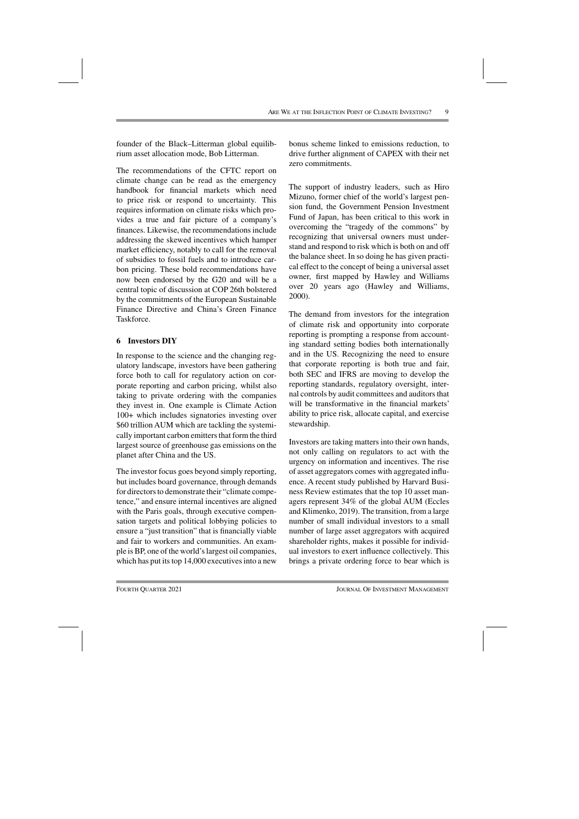founder of the Black–Litterman global equilibrium asset allocation mode, Bob Litterman.

The recommendations of the CFTC report on climate change can be read as the emergency handbook for financial markets which need to price risk or respond to uncertainty. This requires information on climate risks which provides a true and fair picture of a company's finances. Likewise, the recommendations include addressing the skewed incentives which hamper market efficiency, notably to call for the removal of subsidies to fossil fuels and to introduce carbon pricing. These bold recommendations have now been endorsed by the G20 and will be a central topic of discussion at COP 26th bolstered by the commitments of the European Sustainable Finance Directive and China's Green Finance Taskforce.

## **6 Investors DIY**

In response to the science and the changing regulatory landscape, investors have been gathering force both to call for regulatory action on corporate reporting and carbon pricing, whilst also taking to private ordering with the companies they invest in. One example is Climate Action 100+ which includes signatories investing over \$60 trillion AUM which are tackling the systemically important carbon emitters that form the third largest source of greenhouse gas emissions on the planet after China and the US.

The investor focus goes beyond simply reporting, but includes board governance, through demands for directors to demonstrate their "climate competence," and ensure internal incentives are aligned with the Paris goals, through executive compensation targets and political lobbying policies to ensure a "just transition" that is financially viable and fair to workers and communities. An example is BP, one of the world's largest oil companies, which has put its top 14,000 executives into a new

bonus scheme linked to emissions reduction, to drive further alignment of CAPEX with their net zero commitments.

The support of industry leaders, such as Hiro Mizuno, former chief of the world's largest pension fund, the Government Pension Investment Fund of Japan, has been critical to this work in overcoming the "tragedy of the commons" by recognizing that universal owners must understand and respond to risk which is both on and off the balance sheet. In so doing he has given practical effect to the concept of being a universal asset owner, first mapped by Hawley and Williams over 20 years ago (Hawley and Williams, 2000).

The demand from investors for the integration of climate risk and opportunity into corporate reporting is prompting a response from accounting standard setting bodies both internationally and in the US. Recognizing the need to ensure that corporate reporting is both true and fair, both SEC and IFRS are moving to develop the reporting standards, regulatory oversight, internal controls by audit committees and auditors that will be transformative in the financial markets' ability to price risk, allocate capital, and exercise stewardship.

Investors are taking matters into their own hands, not only calling on regulators to act with the urgency on information and incentives. The rise of asset aggregators comes with aggregated influence. A recent study published by Harvard Business Review estimates that the top 10 asset managers represent 34% of the global AUM (Eccles and Klimenko, 2019). The transition, from a large number of small individual investors to a small number of large asset aggregators with acquired shareholder rights, makes it possible for individual investors to exert influence collectively. This brings a private ordering force to bear which is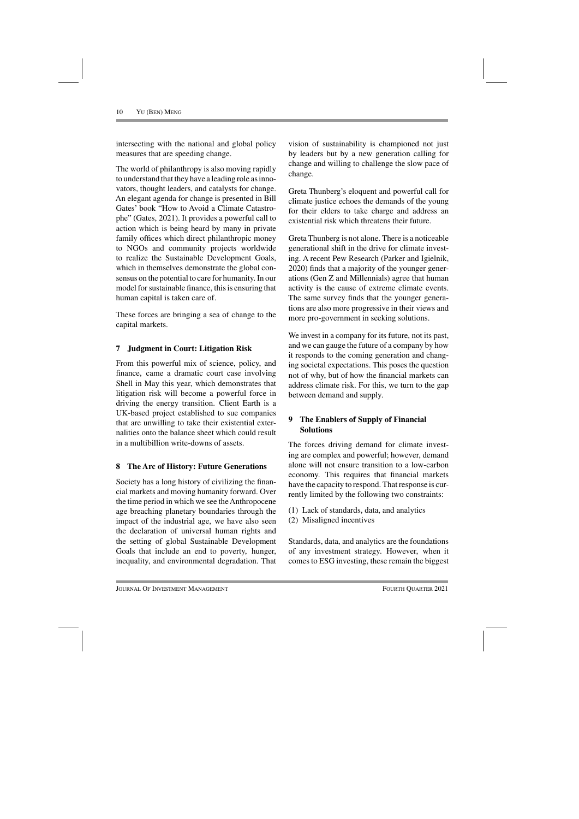intersecting with the national and global policy measures that are speeding change.

The world of philanthropy is also moving rapidly to understand that they have a leading role as innovators, thought leaders, and catalysts for change. An elegant agenda for change is presented in Bill Gates' book "How to Avoid a Climate Catastrophe" (Gates, 2021). It provides a powerful call to action which is being heard by many in private family offices which direct philanthropic money to NGOs and community projects worldwide to realize the Sustainable Development Goals, which in themselves demonstrate the global consensus on the potential to care for humanity. In our model for sustainable finance, this is ensuring that human capital is taken care of.

These forces are bringing a sea of change to the capital markets.

## **7 Judgment in Court: Litigation Risk**

From this powerful mix of science, policy, and finance, came a dramatic court case involving Shell in May this year, which demonstrates that litigation risk will become a powerful force in driving the energy transition. Client Earth is a UK-based project established to sue companies that are unwilling to take their existential externalities onto the balance sheet which could result in a multibillion write-downs of assets.

#### **8 The Arc of History: Future Generations**

Society has a long history of civilizing the financial markets and moving humanity forward. Over the time period in which we see the Anthropocene age breaching planetary boundaries through the impact of the industrial age, we have also seen the declaration of universal human rights and the setting of global Sustainable Development Goals that include an end to poverty, hunger, inequality, and environmental degradation. That vision of sustainability is championed not just by leaders but by a new generation calling for change and willing to challenge the slow pace of change.

Greta Thunberg's eloquent and powerful call for climate justice echoes the demands of the young for their elders to take charge and address an existential risk which threatens their future.

Greta Thunberg is not alone. There is a noticeable generational shift in the drive for climate investing. A recent Pew Research (Parker and Igielnik, 2020) finds that a majority of the younger generations (Gen Z and Millennials) agree that human activity is the cause of extreme climate events. The same survey finds that the younger generations are also more progressive in their views and more pro-government in seeking solutions.

We invest in a company for its future, not its past, and we can gauge the future of a company by how it responds to the coming generation and changing societal expectations. This poses the question not of why, but of how the financial markets can address climate risk. For this, we turn to the gap between demand and supply.

## **9 The Enablers of Supply of Financial Solutions**

The forces driving demand for climate investing are complex and powerful; however, demand alone will not ensure transition to a low-carbon economy. This requires that financial markets have the capacity to respond. That response is currently limited by the following two constraints:

- (1) Lack of standards, data, and analytics
- (2) Misaligned incentives

Standards, data, and analytics are the foundations of any investment strategy. However, when it comes to ESG investing, these remain the biggest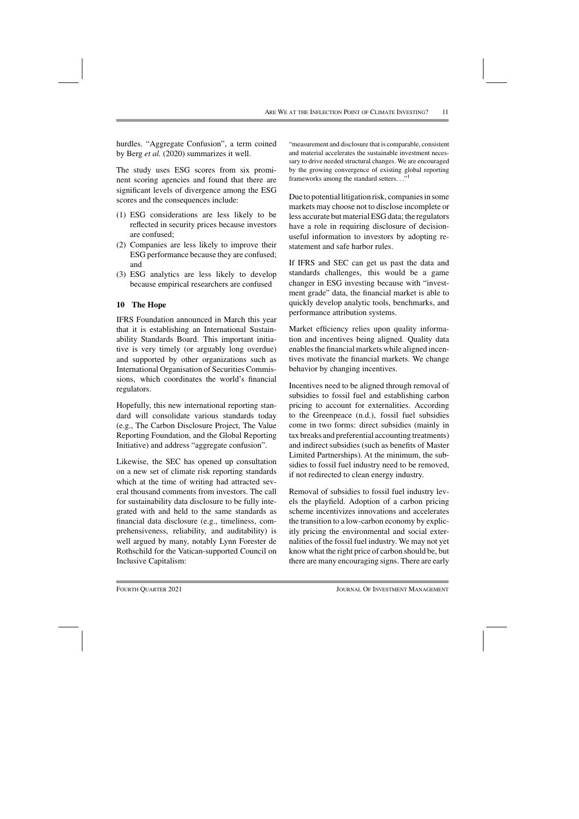hurdles. "Aggregate Confusion", a term coined by Berg *et al.* (2020) summarizes it well.

The study uses ESG scores from six prominent scoring agencies and found that there are significant levels of divergence among the ESG scores and the consequences include:

- (1) ESG considerations are less likely to be reflected in security prices because investors are confused;
- (2) Companies are less likely to improve their ESG performance because they are confused; and
- (3) ESG analytics are less likely to develop because empirical researchers are confused

## **10 The Hope**

IFRS Foundation announced in March this year that it is establishing an International Sustainability Standards Board. This important initiative is very timely (or arguably long overdue) and supported by other organizations such as International Organisation of Securities Commissions, which coordinates the world's financial regulators.

Hopefully, this new international reporting standard will consolidate various standards today (e.g., The Carbon Disclosure Project, The Value Reporting Foundation, and the Global Reporting Initiative) and address "aggregate confusion".

Likewise, the SEC has opened up consultation on a new set of climate risk reporting standards which at the time of writing had attracted several thousand comments from investors. The call for sustainability data disclosure to be fully integrated with and held to the same standards as financial data disclosure (e.g., timeliness, comprehensiveness, reliability, and auditability) is well argued by many, notably Lynn Forester de Rothschild for the Vatican-supported Council on Inclusive Capitalism:

"measurement and disclosure that is comparable, consistent and material accelerates the sustainable investment necessary to drive needed structural changes. We are encouraged by the growing convergence of existing global reporting frameworks among the standard setters..."<sup>1</sup>

Due to potential litigation risk, companies in some markets may choose not to disclose incomplete or less accurate but material ESG data; the regulators have a role in requiring disclosure of decisionuseful information to investors by adopting restatement and safe harbor rules.

If IFRS and SEC can get us past the data and standards challenges, this would be a game changer in ESG investing because with "investment grade" data, the financial market is able to quickly develop analytic tools, benchmarks, and performance attribution systems.

Market efficiency relies upon quality information and incentives being aligned. Quality data enables the financial markets while aligned incentives motivate the financial markets. We change behavior by changing incentives.

Incentives need to be aligned through removal of subsidies to fossil fuel and establishing carbon pricing to account for externalities. According to the Greenpeace (n.d.), fossil fuel subsidies come in two forms: direct subsidies (mainly in tax breaks and preferential accounting treatments) and indirect subsidies (such as benefits of Master Limited Partnerships). At the minimum, the subsidies to fossil fuel industry need to be removed, if not redirected to clean energy industry.

Removal of subsidies to fossil fuel industry levels the playfield. Adoption of a carbon pricing scheme incentivizes innovations and accelerates the transition to a low-carbon economy by explicitly pricing the environmental and social externalities of the fossil fuel industry. We may not yet know what the right price of carbon should be, but there are many encouraging signs. There are early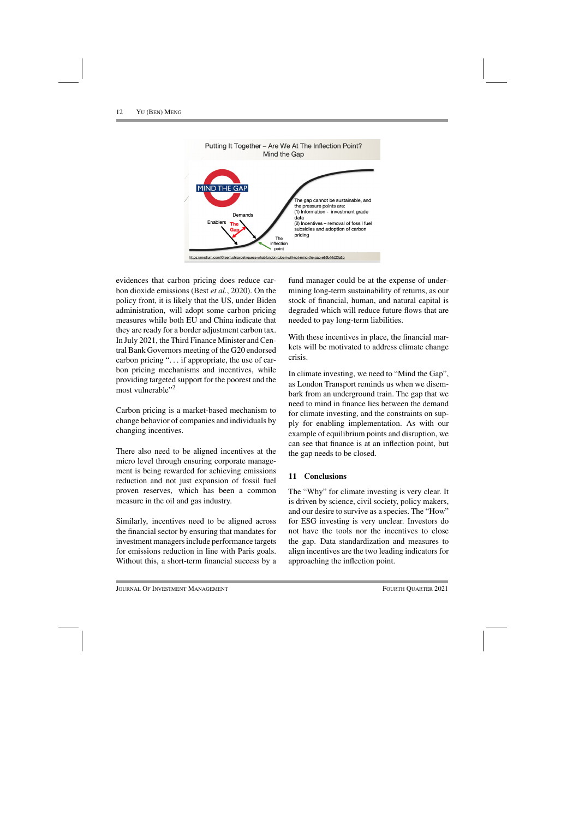

evidences that carbon pricing does reduce carbon dioxide emissions (Best *et al.*, 2020). On the policy front, it is likely that the US, under Biden administration, will adopt some carbon pricing measures while both EU and China indicate that they are ready for a border adjustment carbon tax. In July 2021, the Third Finance Minister and Central Bank Governors meeting of the G20 endorsed carbon pricing "... if appropriate, the use of carbon pricing mechanisms and incentives, while providing targeted support for the poorest and the most vulnerable"2

Carbon pricing is a market-based mechanism to change behavior of companies and individuals by changing incentives.

There also need to be aligned incentives at the micro level through ensuring corporate management is being rewarded for achieving emissions reduction and not just expansion of fossil fuel proven reserves, which has been a common measure in the oil and gas industry.

Similarly, incentives need to be aligned across the financial sector by ensuring that mandates for investment managers include performance targets for emissions reduction in line with Paris goals. Without this, a short-term financial success by a fund manager could be at the expense of undermining long-term sustainability of returns, as our stock of financial, human, and natural capital is degraded which will reduce future flows that are needed to pay long-term liabilities.

With these incentives in place, the financial markets will be motivated to address climate change crisis.

In climate investing, we need to "Mind the Gap", as London Transport reminds us when we disembark from an underground train. The gap that we need to mind in finance lies between the demand for climate investing, and the constraints on supply for enabling implementation. As with our example of equilibrium points and disruption, we can see that finance is at an inflection point, but the gap needs to be closed.

## **11 Conclusions**

The "Why" for climate investing is very clear. It is driven by science, civil society, policy makers, and our desire to survive as a species. The "How" for ESG investing is very unclear. Investors do not have the tools nor the incentives to close the gap. Data standardization and measures to align incentives are the two leading indicators for approaching the inflection point.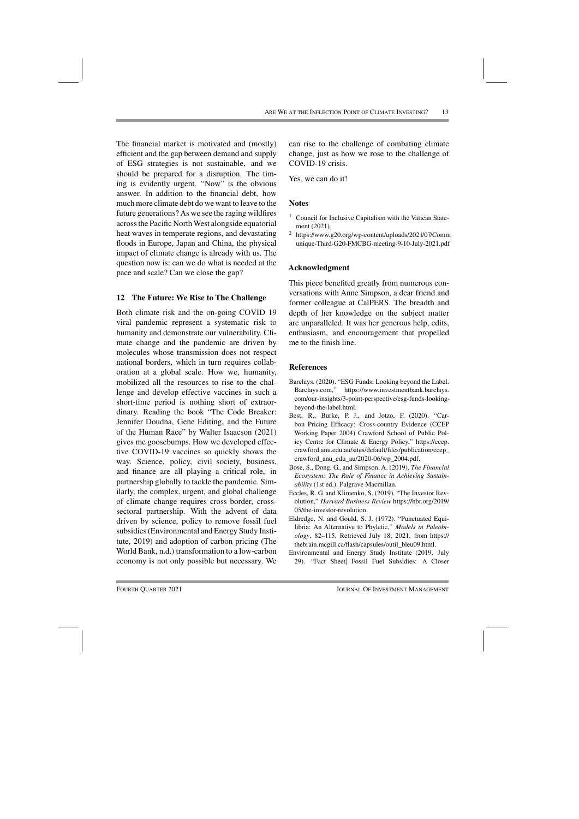The financial market is motivated and (mostly) efficient and the gap between demand and supply of ESG strategies is not sustainable, and we should be prepared for a disruption. The timing is evidently urgent. "Now" is the obvious answer. In addition to the financial debt, how much more climate debt do we want to leave to the future generations? As we see the raging wildfires across the Pacific North West alongside equatorial heat waves in temperate regions, and devastating floods in Europe, Japan and China, the physical impact of climate change is already with us. The question now is: can we do what is needed at the pace and scale? Can we close the gap?

## **12 The Future: We Rise to The Challenge**

Both climate risk and the on-going COVID 19 viral pandemic represent a systematic risk to humanity and demonstrate our vulnerability. Climate change and the pandemic are driven by molecules whose transmission does not respect national borders, which in turn requires collaboration at a global scale. How we, humanity, mobilized all the resources to rise to the challenge and develop effective vaccines in such a short-time period is nothing short of extraordinary. Reading the book "The Code Breaker: Jennifer Doudna, Gene Editing, and the Future of the Human Race" by Walter Isaacson (2021) gives me goosebumps. How we developed effective COVID-19 vaccines so quickly shows the way. Science, policy, civil society, business, and finance are all playing a critical role, in partnership globally to tackle the pandemic. Similarly, the complex, urgent, and global challenge of climate change requires cross border, crosssectoral partnership. With the advent of data driven by science, policy to remove fossil fuel subsidies (Environmental and Energy Study Institute, 2019) and adoption of carbon pricing (The World Bank, n.d.) transformation to a low-carbon economy is not only possible but necessary. We can rise to the challenge of combating climate change, just as how we rose to the challenge of COVID-19 crisis.

Yes, we can do it!

## **Notes**

- <sup>1</sup> Council for Inclusive Capitalism with the Vatican Statement (2021).
- <sup>2</sup> https://www.g20.org/wp-content/uploads/2021/07/Comm unique-Third-G20-FMCBG-meeting-9-10-July-2021.pdf

## **Acknowledgment**

This piece benefited greatly from numerous conversations with Anne Simpson, a dear friend and former colleague at CalPERS. The breadth and depth of her knowledge on the subject matter are unparalleled. It was her generous help, edits, enthusiasm, and encouragement that propelled me to the finish line.

## **References**

- Barclays. (2020). "ESG Funds: Looking beyond the Label. Barclays.com," https://www.investmentbank.barclays. com/our-insights/3-point-perspective/esg-funds-lookingbeyond-the-label.html.
- Best, R., Burke, P. J., and Jotzo, F. (2020). "Carbon Pricing Efficacy: Cross-country Evidence (CCEP Working Paper 2004) Crawford School of Public Policy Centre for Climate & Energy Policy," https://ccep. crawford.anu.edu.au/sites/default/files/publication/ccep\_ crawford\_anu\_edu\_au/2020-06/wp\_2004.pdf.
- Bose, S., Dong, G., and Simpson, A. (2019). *The Financial Ecosystem: The Role of Finance in Achieving Sustainability* (1st ed.). Palgrave Macmillan.
- Eccles, R. G. and Klimenko, S. (2019). "The Investor Revolution," *Harvard Business Review* https://hbr.org/2019/ 05/the-investor-revolution.
- Eldredge, N. and Gould, S. J. (1972). "Punctuated Equilibria: An Alternative to Phyletic," *Models in Paleobiology*, 82–115, Retrieved July 18, 2021, from https:// thebrain.mcgill.ca/flash/capsules/outil\_bleu09.html.
- Environmental and Energy Study Institute (2019, July 29). "Fact Sheet| Fossil Fuel Subsidies: A Closer